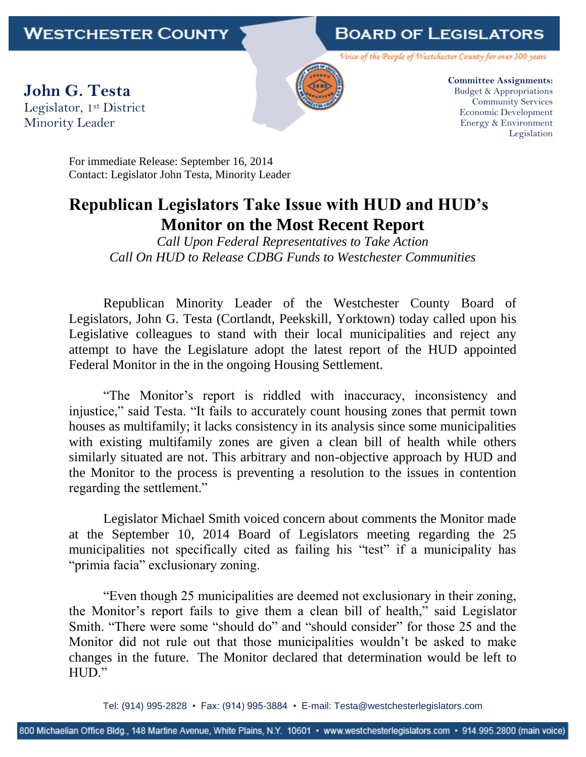## **BOARD OF LEGISLATORS**

Voice of the People of Westchester County for over 300 years

**John G. Testa** Legislator, 1st District Minority Leader



**Committee Assignments:** Budget & Appropriations Community Services Economic Development Energy & Environment Legislation

For immediate Release: September 16, 2014 Contact: Legislator John Testa, Minority Leader

## **Republican Legislators Take Issue with HUD and HUD's Monitor on the Most Recent Report**

*Call Upon Federal Representatives to Take Action Call On HUD to Release CDBG Funds to Westchester Communities*

Republican Minority Leader of the Westchester County Board of Legislators, John G. Testa (Cortlandt, Peekskill, Yorktown) today called upon his Legislative colleagues to stand with their local municipalities and reject any attempt to have the Legislature adopt the latest report of the HUD appointed Federal Monitor in the in the ongoing Housing Settlement.

"The Monitor's report is riddled with inaccuracy, inconsistency and injustice," said Testa. "It fails to accurately count housing zones that permit town houses as multifamily; it lacks consistency in its analysis since some municipalities with existing multifamily zones are given a clean bill of health while others similarly situated are not. This arbitrary and non-objective approach by HUD and the Monitor to the process is preventing a resolution to the issues in contention regarding the settlement."

Legislator Michael Smith voiced concern about comments the Monitor made at the September 10, 2014 Board of Legislators meeting regarding the 25 municipalities not specifically cited as failing his "test" if a municipality has "primia facia" exclusionary zoning.

"Even though 25 municipalities are deemed not exclusionary in their zoning, the Monitor's report fails to give them a clean bill of health," said Legislator Smith. "There were some "should do" and "should consider" for those 25 and the Monitor did not rule out that those municipalities wouldn't be asked to make changes in the future. The Monitor declared that determination would be left to HUD"

Tel: (914) 995-2828 • Fax: (914) 995-3884 • E-mail: Testa@westchesterlegislators.com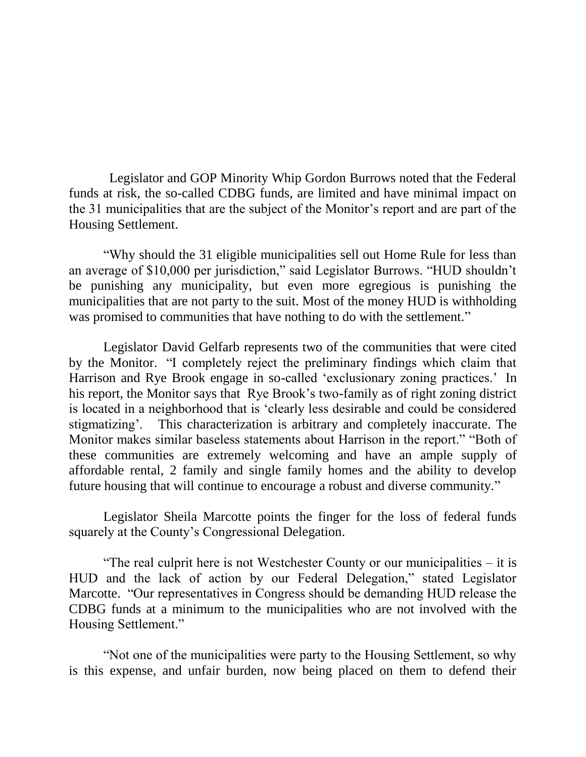Legislator and GOP Minority Whip Gordon Burrows noted that the Federal funds at risk, the so-called CDBG funds, are limited and have minimal impact on the 31 municipalities that are the subject of the Monitor's report and are part of the Housing Settlement.

"Why should the 31 eligible municipalities sell out Home Rule for less than an average of \$10,000 per jurisdiction," said Legislator Burrows. "HUD shouldn't be punishing any municipality, but even more egregious is punishing the municipalities that are not party to the suit. Most of the money HUD is withholding was promised to communities that have nothing to do with the settlement."

Legislator David Gelfarb represents two of the communities that were cited by the Monitor. "I completely reject the preliminary findings which claim that Harrison and Rye Brook engage in so-called 'exclusionary zoning practices.' In his report, the Monitor says that Rye Brook's two-family as of right zoning district is located in a neighborhood that is 'clearly less desirable and could be considered stigmatizing'. This characterization is arbitrary and completely inaccurate. The Monitor makes similar baseless statements about Harrison in the report." "Both of these communities are extremely welcoming and have an ample supply of affordable rental, 2 family and single family homes and the ability to develop future housing that will continue to encourage a robust and diverse community."

Legislator Sheila Marcotte points the finger for the loss of federal funds squarely at the County's Congressional Delegation.

"The real culprit here is not Westchester County or our municipalities – it is HUD and the lack of action by our Federal Delegation," stated Legislator Marcotte. "Our representatives in Congress should be demanding HUD release the CDBG funds at a minimum to the municipalities who are not involved with the Housing Settlement."

"Not one of the municipalities were party to the Housing Settlement, so why is this expense, and unfair burden, now being placed on them to defend their